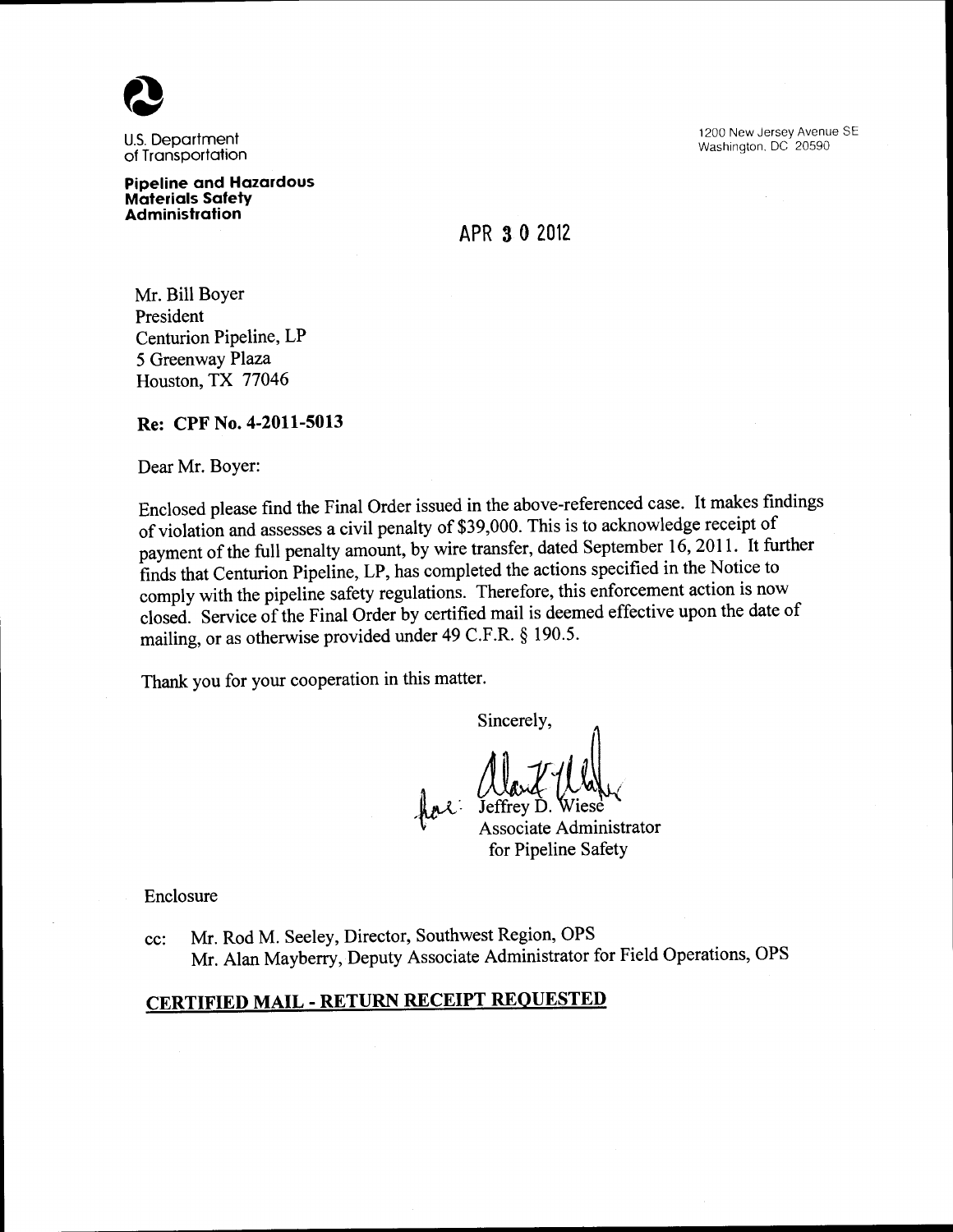

U.S. Department of Transportation

Pipeline and Hazardous Materials Safety Administration

1200 New Jersey Avenue SE Washington. DC 20590

APR 3 0 2012

Mr. Bill Boyer President Centurion Pipeline, LP 5 Greenway Plaza Houston, TX 77046

Re: CPF No. 4-2011-5013

Dear Mr. Boyer:

Enclosed please find the Final Order issued in the above-referenced case. It makes findings of violation and assesses a civil penalty of \$39,000. This is to acknowledge receipt of payment of the full penalty amount, by wire transfer, dated September 16,2011. It further finds that Centurion Pipeline, LP, has completed the actions specified in the Notice to comply with the pipeline safety regulations. Therefore, this enforcement action is now closed. Service of the Final Order by certified mail is deemed effective upon the date of mailing, or as otherwise provided under 49 C.F.R. § 190.5.

Thank you for your cooperation in this matter.

Sincerely,

 $\sim$ 

Associate Administrator

for Pipeline Safety

Enclosure

cc: Mr. Rod M. Seeley, Director, Southwest Region, OPS Mr. Alan Mayberry, Deputy Associate Administrator for Field Operations, OPS

# CERTIFIED MAIL- RETURN RECEIPT REQUESTED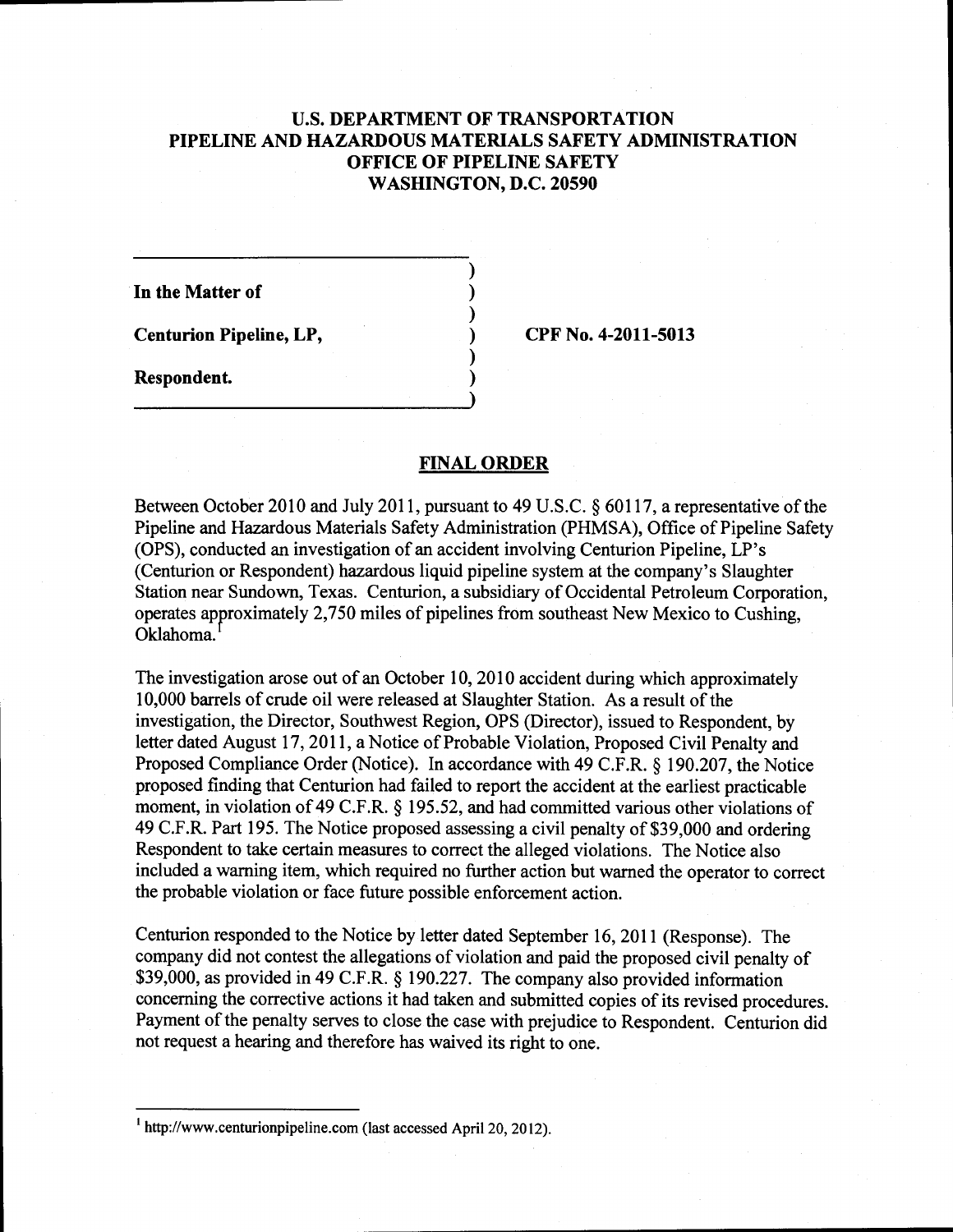# U.S. **DEPARTMENT OF TRANSPORTATION PIPELINE AND HAZARDOUS MATERIALS SAFETY ADMINISTRATION OFFICE OF PIPELINE SAFETY WASHINGTON, D.C. 20590**

) ) ) ) ) )

**In the Matter of** 

**Centurion Pipeline, LP,** 

**CPF No. 4-2011-5013** 

**Respondent.** 

#### **FINAL ORDER**

Between October 2010 and July 2011, pursuant to 49 U.S.C. § 60117, a representative of the Pipeline and Hazardous Materials Safety Administration (PHMSA), Office of Pipeline Safety (OPS), conducted an investigation of an accident involving Centurion Pipeline, LP's (Centurion or Respondent) hazardous liquid pipeline system at the company's Slaughter Station near Sundown, Texas. Centurion, a subsidiary of Occidental Petroleum Corporation, operates approximately 2,750 miles of pipelines from southeast New Mexico to Cushing, Oklahoma.

The investigation arose out of an October 10,2010 accident during which approximately 10,000 barrels of crude oil were released at Slaughter Station. As a result of the investigation, the Director, Southwest Region, OPS (Director), issued to Respondent, by letter dated August 17, 2011, a Notice of Probable Violation, Proposed Civil Penalty and Proposed Compliance Order (Notice). In accordance with 49 C.P.R.§ 190.207, the Notice proposed finding that Centurion had failed to report the accident at the earliest practicable moment, in violation of 49 C.P.R.§ 195.52, and had committed various other violations of 49 C.F.R. Part 195. The Notice proposed assessing a civil penalty of \$39,000 and ordering Respondent to take certain measures to correct the alleged violations. The Notice also included a warning item, which required no further action but warned the operator to correct the probable violation or face future possible enforcement action.

Centurion responded to the Notice by letter dated September 16, 2011 (Response). The company did not contest the allegations of violation and paid the proposed civil penalty of \$39,000, as provided in 49 C.F.R. § 190.227. The company also provided information concerning the corrective actions it had taken and submitted copies of its revised procedures. Payment of the penalty serves to close the case with prejudice to Respondent. Centurion did not request a hearing and therefore has waived its right to one.

<sup>1</sup> http://www.centurionpipeline.com (last accessed April20, 2012).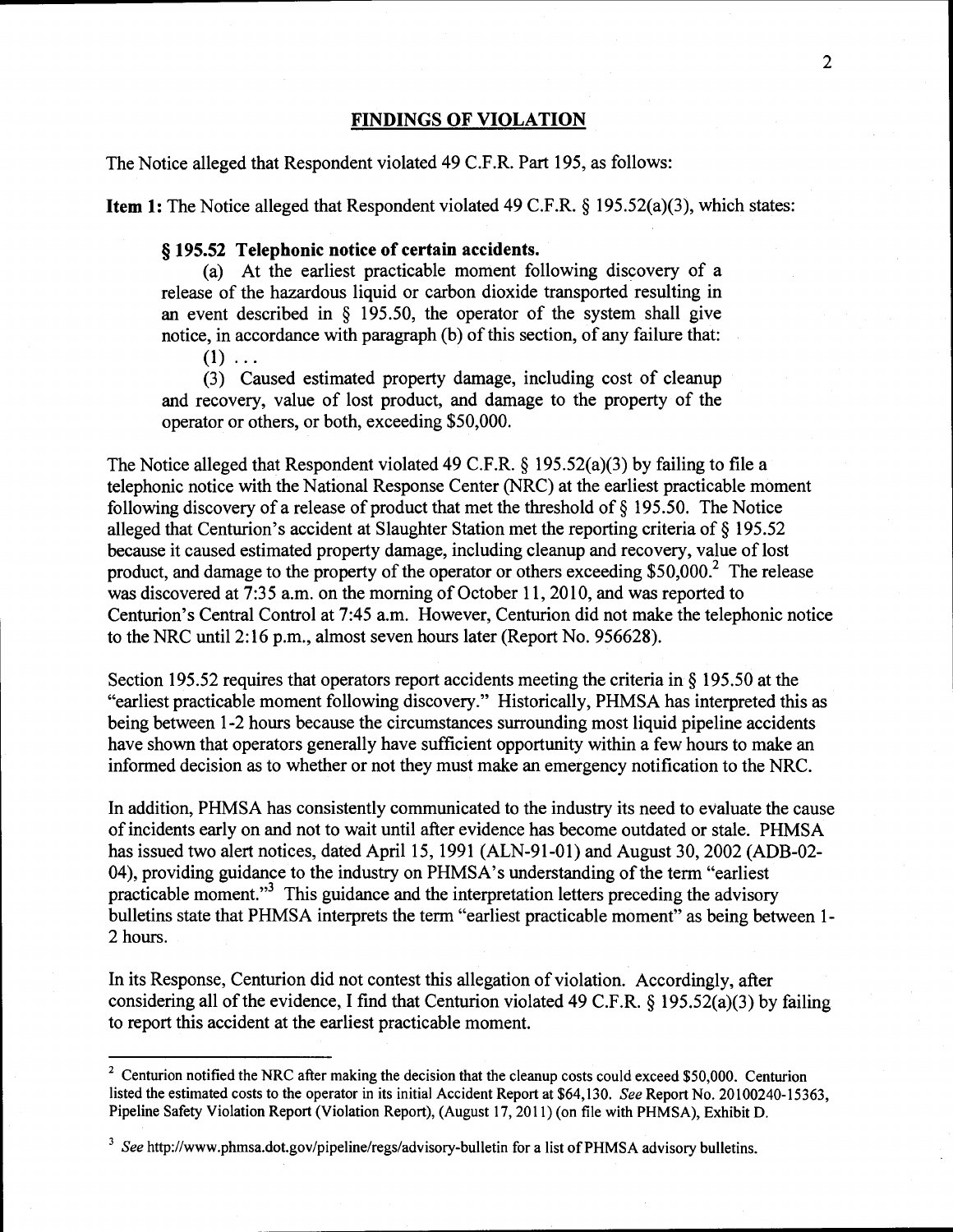### **FINDINGS OF VIOLATION**

The Notice alleged that Respondent violated 49 C.P.R. Part 195, as follows:

**Item 1:** The Notice alleged that Respondent violated 49 C.P.R.§ 195.52(a)(3), which states:

## § **195.52 Telephonic notice of certain accidents.**

(a) At the earliest practicable moment following discovery of a release of the hazardous liquid or carbon dioxide transported resulting in an event described in  $\S$  195.50, the operator of the system shall give notice, in accordance with paragraph (b) of this section, of any failure that:

 $(1) \ldots$ 

(3) Caused estimated property damage, including cost of cleanup and recovery, value of lost product, and damage to the property of the operator or others, or both, exceeding \$50,000.

The Notice alleged that Respondent violated 49 C.F.R. § 195.52(a)(3) by failing to file a telephonic notice with the National Response Center (NRC) at the earliest practicable moment following discovery of a release of product that met the threshold of  $\S$  195.50. The Notice alleged that Centurion's accident at Slaughter Station met the reporting criteria of§ 195.52 because it caused estimated property damage, including cleanup and recovery, value of lost product, and damage to the property of the operator or others exceeding \$50,000? The release was discovered at 7:35a.m. on the morning of October 11, 2010, and was reported to Centurion's Central Control at 7:45 a.m. However, Centurion did not make the telephonic notice to the NRC until2:16 p.m., almost seven hours later (Report No. 956628).

Section 195.52 requires that operators report accidents meeting the criteria in§ 195.50 at the "earliest practicable moment following discovery." Historically, PHMSA has interpreted this as being between 1-2 hours because the circumstances surrounding most liquid pipeline accidents have shown that operators generally have sufficient opportunity within a few hours to make an informed decision as to whether or not they must make an emergency notification to the NRC.

In addition, PHMSA has consistently communicated to the industry its need to evaluate the cause of incidents early on and not to wait until after evidence has become outdated or stale. PHMSA has issued two alert notices, dated April 15, 1991 (ALN-91-01) and August 30, 2002 (ADB-02-04), providing guidance to the industry on PHMSA's understanding of the term "earliest practicable moment."3 This guidance and the interpretation letters preceding the advisory bulletins state that PHMSA interprets the term "earliest practicable moment" as being between 1- 2 hours.

In its Response, Centurion did not contest this allegation of violation. Accordingly, after considering all of the evidence, I find that Centurion violated 49 C.F.R.  $\S$  195.52(a)(3) by failing to report this accident at the earliest practicable moment.

<sup>&</sup>lt;sup>2</sup> Centurion notified the NRC after making the decision that the cleanup costs could exceed \$50,000. Centurion listed the estimated costs to the operator in its initial Accident Report at \$64,130. *See* Report No. 20100240-15363, Pipeline Safety Violation Report (Violation Report), (August 17, 2011) (on file with PHMSA), Exhibit D.

<sup>&</sup>lt;sup>3</sup> See http://www.phmsa.dot.gov/pipeline/regs/advisory-bulletin for a list of PHMSA advisory bulletins.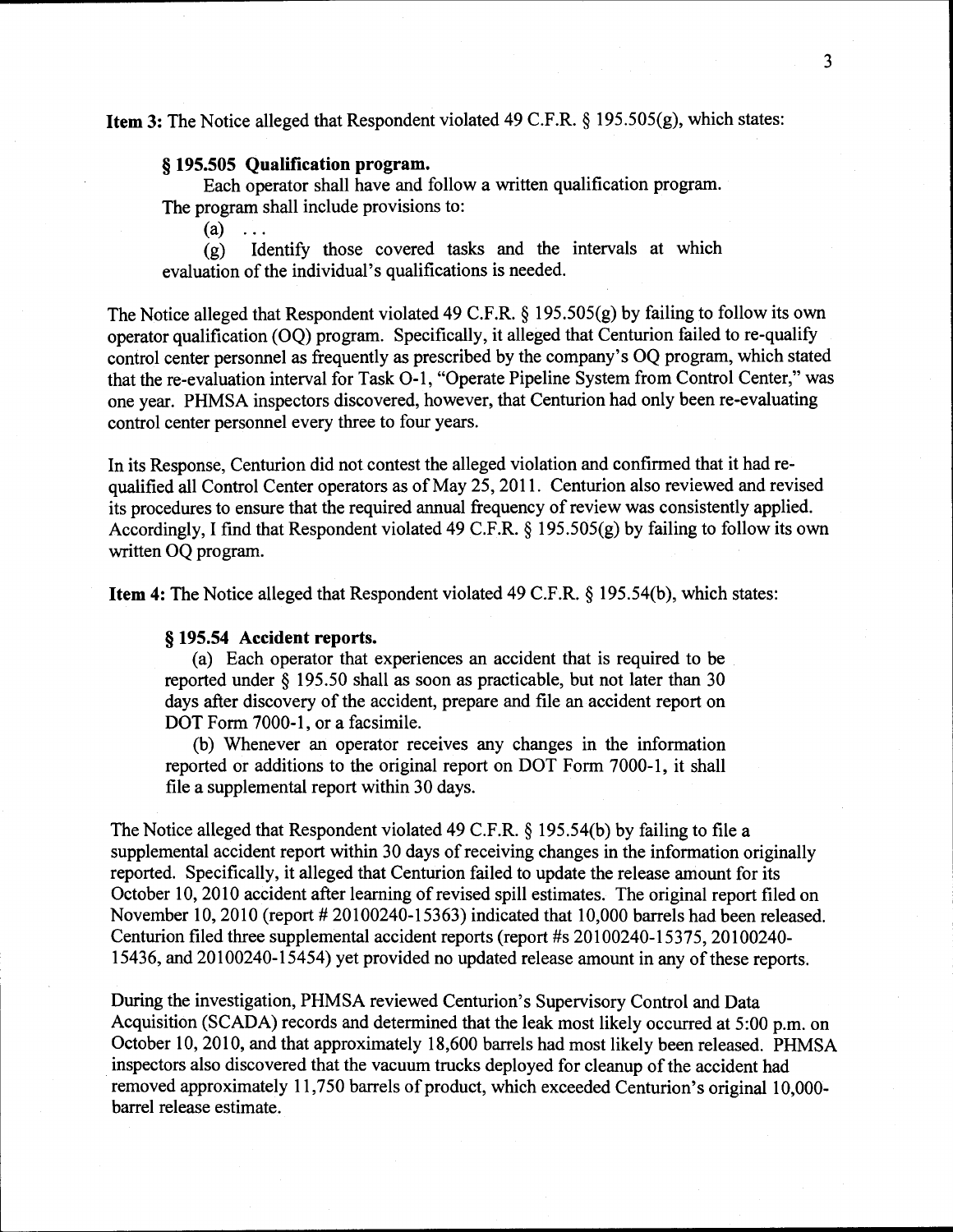# **Item 3:** The Notice alleged that Respondent violated 49 C.F.R. § 195.505(g), which states:

### § **195.505 Qualification program.**

Each operator shall have and follow a written qualification program. The program shall include provisions to:

 $(a) \ldots$ 

(g) Identify those covered tasks and the intervals at which evaluation of the individual's qualifications is needed.

The Notice alleged that Respondent violated 49 C.F.R. § 195.505(g) by failing to follow its own operator qualification (OQ) program. Specifically, it alleged that Centurion failed tore-qualify control center personnel as frequently as prescribed by the company's OQ program, which stated that the re-evaluation interval for Task 0-1, "Operate Pipeline System from Control Center," was one year. PHMSA inspectors discovered, however, that Centurion had only been re-evaluating control center personnel every three to four years.

In its Response, Centurion did not contest the alleged violation and confirmed that it had requalified all Control Center operators as of May 25, 2011. Centurion also reviewed and revised its procedures to ensure that the required annual frequency of review was consistently applied. Accordingly, I find that Respondent violated 49 C.F.R. § 195.505(g) by failing to follow its own written OQ program.

**Item 4:** The Notice alleged that Respondent violated 49 C.F.R. § 195.54(b), which states:

## § **195.54 Accident reports.**

(a) Each operator that experiences an accident that is required to be reported under § 195.50 shall as soon as practicable, but not later than 30 days after discovery of the accident, prepare and file an accident report on DOT Form 7000-1, or a facsimile.

(b) Whenever an operator receives any changes in the information reported or additions to the original report on DOT Form 7000-1, it shall file a supplemental report within 30 days.

The Notice alleged that Respondent violated 49 C.F.R. § 195.54(b) by failing to file a supplemental accident report within 30 days of receiving changes in the information originally reported. Specifically, it alleged that Centurion failed to update the release amount for its October 10, 2010 accident after learning of revised spill estimates. The original report filed on November 10, 2010 (report  $#20100240-15363$ ) indicated that 10,000 barrels had been released. Centurion filed three supplemental accident reports (report #s 20100240-15375, 20100240- 15436, and 20100240-15454) yet provided no updated release amount in any of these reports.

During the investigation, PHMSA reviewed Centurion's Supervisory Control and Data Acquisition (SCADA) records and determined that the leak most likely occurred at 5:00 p.m. on October 10, 2010, and that approximately 18,600 barrels had most likely been released. PHMSA inspectors also discovered that the vacuum trucks deployed for cleanup of the accident had removed approximately 11,750 barrels of product, which exceeded Centurion's original 10,000barrel release estimate.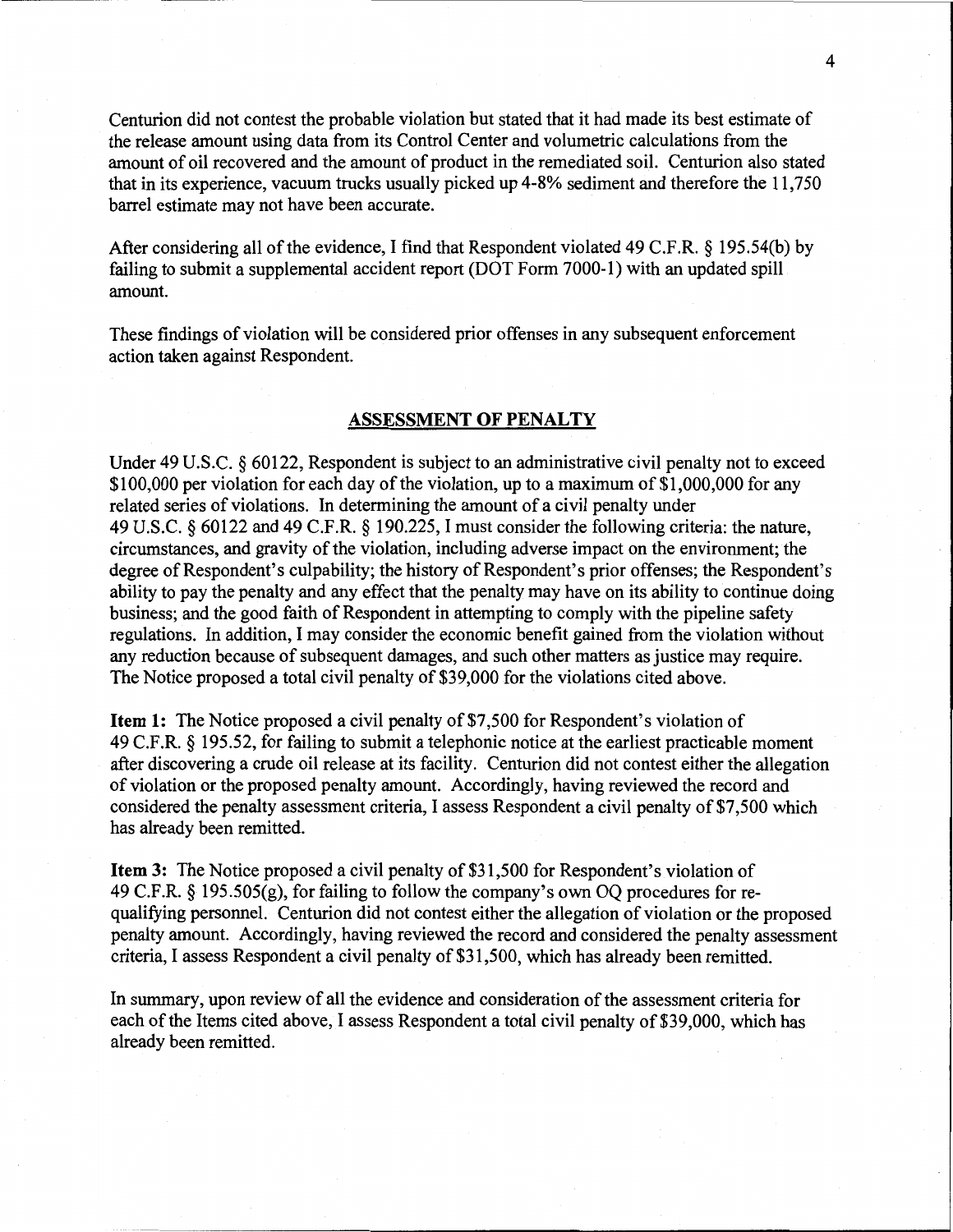Centurion did not contest the probable violation but stated that it had made its best estimate of the release amount using data from its Control Center and volumetric calculations from the amount of oil recovered and the amount of product in the remediated soil. Centurion also stated that in its experience, vacuum trucks usually picked up 4-8% sediment and therefore the 11,750 barrel estimate may not have been accurate.

After considering all of the evidence, I find that Respondent violated 49 C.F.R. § 195.54(b) by failing to submit a supplemental accident report (DOT Form 7000-1) with an updated spill amount.

These findings of violation will be considered prior offenses in any subsequent enforcement action taken against Respondent.

#### **ASSESSMENT OF PENALTY**

Under 49 U.S.C. § 60122, Respondent is subject to an administrative civil penalty not to exceed \$100,000 per violation for each day of the violation, up to a maximum of \$1,000,000 for any related series of violations. In determining the amount of a civil penalty under 49 U.S.C. § 60122 and 49 C.F.R. § 190.225, I must consider the following criteria: the nature, circumstances, and gravity of the violation, including adverse impact on the environment; the degree of Respondent's culpability; the history of Respondent's prior offenses; the Respondent's ability to pay the penalty and any effect that the penalty may have on its ability to continue doing business; and the good faith of Respondent in attempting to comply with the pipeline safety regulations. In addition, I may consider the economic benefit gained from the violation without any reduction because of subsequent damages, and such other matters as justice may require. The Notice proposed a total civil penalty of \$39,000 for the violations cited above.

**Item 1:** The Notice proposed a civil penalty of \$7,500 for Respondent's violation of 49 C.F.R. § 195.52, for failing to submit a telephonic notice at the earliest practicable moment after discovering a crude oil release at its facility. Centurion did not contest either the allegation of violation or the proposed penalty amount. Accordingly, having reviewed the record and considered the penalty assessment criteria, I assess Respondent a civil penalty of \$7,500 which has already been remitted.

**Item 3:** The Notice proposed a civil penalty of \$31,500 for Respondent's violation of 49 C.F.R. § 195.505(g), for failing to follow the company's own OQ procedures for requalifying personnel. Centurion did not contest either the allegation of violation or the proposed penalty amount. Accordingly, having reviewed the record and considered the penalty assessment criteria, I assess Respondent a civil penalty of \$31,500, which has already been remitted.

In summary, upon review of all the evidence and consideration of the assessment criteria for each of the Items cited above, I assess Respondent a total civil penalty of \$39,000, which has already been remitted.